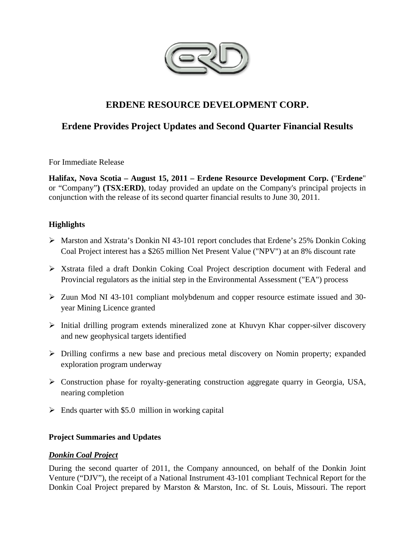

# **ERDENE RESOURCE DEVELOPMENT CORP.**

## **Erdene Provides Project Updates and Second Quarter Financial Results**

For Immediate Release

**Halifax, Nova Scotia – August 15, 2011 – Erdene Resource Development Corp. (**"**Erdene**" or "Company"**) (TSX:ERD)**, today provided an update on the Company's principal projects in conjunction with the release of its second quarter financial results to June 30, 2011.

## **Highlights**

- Marston and Xstrata's Donkin NI 43-101 report concludes that Erdene's 25% Donkin Coking Coal Project interest has a \$265 million Net Present Value ("NPV") at an 8% discount rate
- $\triangleright$  Xstrata filed a draft Donkin Coking Coal Project description document with Federal and Provincial regulators as the initial step in the Environmental Assessment ("EA") process
- $\geq$  Zuun Mod NI 43-101 compliant molybdenum and copper resource estimate issued and 30year Mining Licence granted
- $\triangleright$  Initial drilling program extends mineralized zone at Khuvyn Khar copper-silver discovery and new geophysical targets identified
- Drilling confirms a new base and precious metal discovery on Nomin property; expanded exploration program underway
- Construction phase for royalty-generating construction aggregate quarry in Georgia, USA, nearing completion
- $\triangleright$  Ends quarter with \$5.0 million in working capital

## **Project Summaries and Updates**

## *Donkin Coal Project*

During the second quarter of 2011, the Company announced, on behalf of the Donkin Joint Venture ("DJV"), the receipt of a National Instrument 43-101 compliant Technical Report for the Donkin Coal Project prepared by Marston & Marston, Inc. of St. Louis, Missouri. The report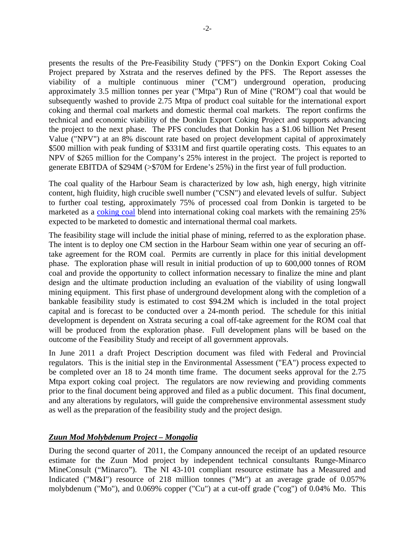presents the results of the Pre-Feasibility Study ("PFS") on the Donkin Export Coking Coal Project prepared by Xstrata and the reserves defined by the PFS. The Report assesses the viability of a multiple continuous miner ("CM") underground operation, producing approximately 3.5 million tonnes per year ("Mtpa") Run of Mine ("ROM") coal that would be subsequently washed to provide 2.75 Mtpa of product coal suitable for the international export coking and thermal coal markets and domestic thermal coal markets. The report confirms the technical and economic viability of the Donkin Export Coking Project and supports advancing the project to the next phase. The PFS concludes that Donkin has a \$1.06 billion Net Present Value ("NPV") at an 8% discount rate based on project development capital of approximately \$500 million with peak funding of \$331M and first quartile operating costs. This equates to an NPV of \$265 million for the Company's 25% interest in the project. The project is reported to generate EBITDA of \$294M (>\$70M for Erdene's 25%) in the first year of full production.

The coal quality of the Harbour Seam is characterized by low ash, high energy, high vitrinite content, high fluidity, high crucible swell number ("CSN") and elevated levels of sulfur. Subject to further coal testing, approximately 75% of processed coal from Donkin is targeted to be marketed as a coking coal blend into international coking coal markets with the remaining 25% expected to be marketed to domestic and international thermal coal markets.

The feasibility stage will include the initial phase of mining, referred to as the exploration phase. The intent is to deploy one CM section in the Harbour Seam within one year of securing an offtake agreement for the ROM coal. Permits are currently in place for this initial development phase. The exploration phase will result in initial production of up to 600,000 tonnes of ROM coal and provide the opportunity to collect information necessary to finalize the mine and plant design and the ultimate production including an evaluation of the viability of using longwall mining equipment. This first phase of underground development along with the completion of a bankable feasibility study is estimated to cost \$94.2M which is included in the total project capital and is forecast to be conducted over a 24-month period. The schedule for this initial development is dependent on Xstrata securing a coal off-take agreement for the ROM coal that will be produced from the exploration phase. Full development plans will be based on the outcome of the Feasibility Study and receipt of all government approvals.

In June 2011 a draft Project Description document was filed with Federal and Provincial regulators. This is the initial step in the Environmental Assessment ("EA") process expected to be completed over an 18 to 24 month time frame. The document seeks approval for the 2.75 Mtpa export coking coal project. The regulators are now reviewing and providing comments prior to the final document being approved and filed as a public document. This final document, and any alterations by regulators, will guide the comprehensive environmental assessment study as well as the preparation of the feasibility study and the project design.

## *Zuun Mod Molybdenum Project – Mongolia*

During the second quarter of 2011, the Company announced the receipt of an updated resource estimate for the Zuun Mod project by independent technical consultants Runge-Minarco MineConsult ("Minarco"). The NI 43-101 compliant resource estimate has a Measured and Indicated ("M&I") resource of 218 million tonnes ("Mt") at an average grade of 0.057% molybdenum ("Mo"), and 0.069% copper ("Cu") at a cut-off grade ("cog") of 0.04% Mo. This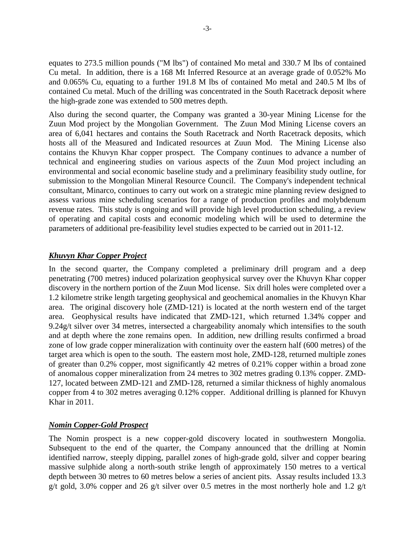equates to 273.5 million pounds ("M lbs") of contained Mo metal and 330.7 M lbs of contained Cu metal. In addition, there is a 168 Mt Inferred Resource at an average grade of 0.052% Mo and 0.065% Cu, equating to a further 191.8 M lbs of contained Mo metal and 240.5 M lbs of contained Cu metal. Much of the drilling was concentrated in the South Racetrack deposit where the high-grade zone was extended to 500 metres depth.

Also during the second quarter, the Company was granted a 30-year Mining License for the Zuun Mod project by the Mongolian Government. The Zuun Mod Mining License covers an area of 6,041 hectares and contains the South Racetrack and North Racetrack deposits, which hosts all of the Measured and Indicated resources at Zuun Mod. The Mining License also contains the Khuvyn Khar copper prospect. The Company continues to advance a number of technical and engineering studies on various aspects of the Zuun Mod project including an environmental and social economic baseline study and a preliminary feasibility study outline, for submission to the Mongolian Mineral Resource Council. The Company's independent technical consultant, Minarco, continues to carry out work on a strategic mine planning review designed to assess various mine scheduling scenarios for a range of production profiles and molybdenum revenue rates. This study is ongoing and will provide high level production scheduling, a review of operating and capital costs and economic modeling which will be used to determine the parameters of additional pre-feasibility level studies expected to be carried out in 2011-12.

## *Khuvyn Khar Copper Project*

In the second quarter, the Company completed a preliminary drill program and a deep penetrating (700 metres) induced polarization geophysical survey over the Khuvyn Khar copper discovery in the northern portion of the Zuun Mod license. Six drill holes were completed over a 1.2 kilometre strike length targeting geophysical and geochemical anomalies in the Khuvyn Khar area. The original discovery hole (ZMD-121) is located at the north western end of the target area. Geophysical results have indicated that ZMD-121, which returned 1.34% copper and 9.24g/t silver over 34 metres, intersected a chargeability anomaly which intensifies to the south and at depth where the zone remains open. In addition, new drilling results confirmed a broad zone of low grade copper mineralization with continuity over the eastern half (600 metres) of the target area which is open to the south. The eastern most hole, ZMD-128, returned multiple zones of greater than 0.2% copper, most significantly 42 metres of 0.21% copper within a broad zone of anomalous copper mineralization from 24 metres to 302 metres grading 0.13% copper. ZMD-127, located between ZMD-121 and ZMD-128, returned a similar thickness of highly anomalous copper from 4 to 302 metres averaging 0.12% copper. Additional drilling is planned for Khuvyn Khar in 2011.

### *Nomin Copper-Gold Prospect*

The Nomin prospect is a new copper-gold discovery located in southwestern Mongolia. Subsequent to the end of the quarter, the Company announced that the drilling at Nomin identified narrow, steeply dipping, parallel zones of high-grade gold, silver and copper bearing massive sulphide along a north-south strike length of approximately 150 metres to a vertical depth between 30 metres to 60 metres below a series of ancient pits. Assay results included 13.3 g/t gold, 3.0% copper and 26 g/t silver over 0.5 metres in the most northerly hole and 1.2 g/t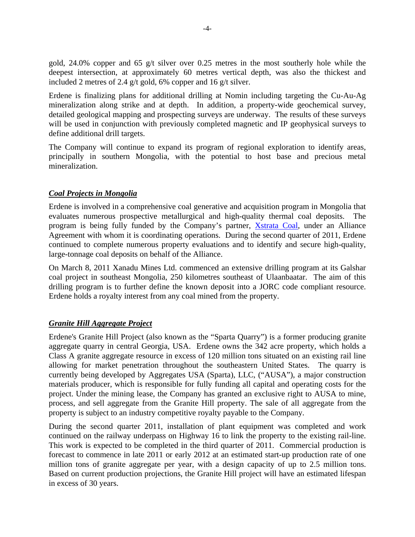gold, 24.0% copper and 65 g/t silver over 0.25 metres in the most southerly hole while the deepest intersection, at approximately 60 metres vertical depth, was also the thickest and included 2 metres of 2.4 g/t gold, 6% copper and 16 g/t silver.

Erdene is finalizing plans for additional drilling at Nomin including targeting the Cu-Au-Ag mineralization along strike and at depth. In addition, a property-wide geochemical survey, detailed geological mapping and prospecting surveys are underway. The results of these surveys will be used in conjunction with previously completed magnetic and IP geophysical surveys to define additional drill targets.

The Company will continue to expand its program of regional exploration to identify areas, principally in southern Mongolia, with the potential to host base and precious metal mineralization.

## *Coal Projects in Mongolia*

Erdene is involved in a comprehensive coal generative and acquisition program in Mongolia that evaluates numerous prospective metallurgical and high-quality thermal coal deposits. The program is being fully funded by the Company's partner, Xstrata Coal, under an Alliance Agreement with whom it is coordinating operations. During the second quarter of 2011, Erdene continued to complete numerous property evaluations and to identify and secure high-quality, large-tonnage coal deposits on behalf of the Alliance.

On March 8, 2011 Xanadu Mines Ltd. commenced an extensive drilling program at its Galshar coal project in southeast Mongolia, 250 kilometres southeast of Ulaanbaatar. The aim of this drilling program is to further define the known deposit into a JORC code compliant resource. Erdene holds a royalty interest from any coal mined from the property.

### *Granite Hill Aggregate Project*

Erdene's Granite Hill Project (also known as the "Sparta Quarry") is a former producing granite aggregate quarry in central Georgia, USA. Erdene owns the 342 acre property, which holds a Class A granite aggregate resource in excess of 120 million tons situated on an existing rail line allowing for market penetration throughout the southeastern United States. The quarry is currently being developed by Aggregates USA (Sparta), LLC, ("AUSA"), a major construction materials producer, which is responsible for fully funding all capital and operating costs for the project. Under the mining lease, the Company has granted an exclusive right to AUSA to mine, process, and sell aggregate from the Granite Hill property. The sale of all aggregate from the property is subject to an industry competitive royalty payable to the Company.

During the second quarter 2011, installation of plant equipment was completed and work continued on the railway underpass on Highway 16 to link the property to the existing rail-line. This work is expected to be completed in the third quarter of 2011. Commercial production is forecast to commence in late 2011 or early 2012 at an estimated start-up production rate of one million tons of granite aggregate per year, with a design capacity of up to 2.5 million tons. Based on current production projections, the Granite Hill project will have an estimated lifespan in excess of 30 years.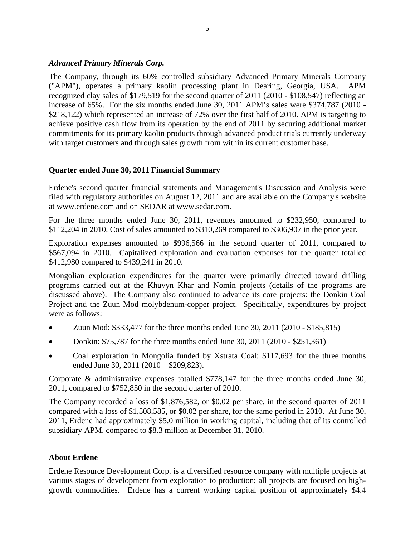## *Advanced Primary Minerals Corp.*

The Company, through its 60% controlled subsidiary Advanced Primary Minerals Company ("APM"), operates a primary kaolin processing plant in Dearing, Georgia, USA. APM recognized clay sales of \$179,519 for the second quarter of 2011 (2010 - \$108,547) reflecting an increase of 65%. For the six months ended June 30, 2011 APM's sales were \$374,787 (2010 - \$218,122) which represented an increase of 72% over the first half of 2010. APM is targeting to achieve positive cash flow from its operation by the end of 2011 by securing additional market commitments for its primary kaolin products through advanced product trials currently underway with target customers and through sales growth from within its current customer base.

## **Quarter ended June 30, 2011 Financial Summary**

Erdene's second quarter financial statements and Management's Discussion and Analysis were filed with regulatory authorities on August 12, 2011 and are available on the Company's website at www.erdene.com and on SEDAR at www.sedar.com.

For the three months ended June 30, 2011, revenues amounted to \$232,950, compared to \$112,204 in 2010. Cost of sales amounted to \$310,269 compared to \$306,907 in the prior year.

Exploration expenses amounted to \$996,566 in the second quarter of 2011, compared to \$567,094 in 2010. Capitalized exploration and evaluation expenses for the quarter totalled \$412,980 compared to \$439,241 in 2010.

Mongolian exploration expenditures for the quarter were primarily directed toward drilling programs carried out at the Khuvyn Khar and Nomin projects (details of the programs are discussed above). The Company also continued to advance its core projects: the Donkin Coal Project and the Zuun Mod molybdenum-copper project. Specifically, expenditures by project were as follows:

- Zuun Mod: \$333,477 for the three months ended June 30, 2011 (2010 \$185,815)
- Donkin: \$75,787 for the three months ended June 30, 2011 (2010 \$251,361)
- Coal exploration in Mongolia funded by Xstrata Coal: \$117,693 for the three months ended June 30, 2011 (2010 – \$209,823).

Corporate & administrative expenses totalled \$778,147 for the three months ended June 30, 2011, compared to \$752,850 in the second quarter of 2010.

The Company recorded a loss of \$1,876,582, or \$0.02 per share, in the second quarter of 2011 compared with a loss of \$1,508,585, or \$0.02 per share, for the same period in 2010. At June 30, 2011, Erdene had approximately \$5.0 million in working capital, including that of its controlled subsidiary APM, compared to \$8.3 million at December 31, 2010.

## **About Erdene**

Erdene Resource Development Corp. is a diversified resource company with multiple projects at various stages of development from exploration to production; all projects are focused on highgrowth commodities. Erdene has a current working capital position of approximately \$4.4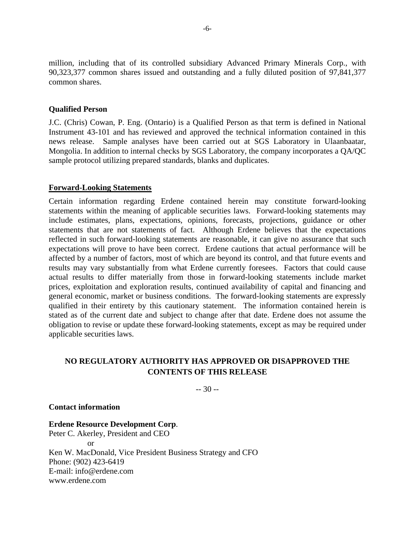million, including that of its controlled subsidiary Advanced Primary Minerals Corp., with 90,323,377 common shares issued and outstanding and a fully diluted position of 97,841,377 common shares.

#### **Qualified Person**

J.C. (Chris) Cowan, P. Eng. (Ontario) is a Qualified Person as that term is defined in National Instrument 43-101 and has reviewed and approved the technical information contained in this news release. Sample analyses have been carried out at SGS Laboratory in Ulaanbaatar, Mongolia. In addition to internal checks by SGS Laboratory, the company incorporates a QA/QC sample protocol utilizing prepared standards, blanks and duplicates.

#### **Forward-Looking Statements**

Certain information regarding Erdene contained herein may constitute forward-looking statements within the meaning of applicable securities laws. Forward-looking statements may include estimates, plans, expectations, opinions, forecasts, projections, guidance or other statements that are not statements of fact. Although Erdene believes that the expectations reflected in such forward-looking statements are reasonable, it can give no assurance that such expectations will prove to have been correct. Erdene cautions that actual performance will be affected by a number of factors, most of which are beyond its control, and that future events and results may vary substantially from what Erdene currently foresees. Factors that could cause actual results to differ materially from those in forward-looking statements include market prices, exploitation and exploration results, continued availability of capital and financing and general economic, market or business conditions. The forward-looking statements are expressly qualified in their entirety by this cautionary statement. The information contained herein is stated as of the current date and subject to change after that date. Erdene does not assume the obligation to revise or update these forward-looking statements, except as may be required under applicable securities laws.

## **NO REGULATORY AUTHORITY HAS APPROVED OR DISAPPROVED THE CONTENTS OF THIS RELEASE**

-- 30 --

#### **Contact information**

**Erdene Resource Development Corp**. Peter C. Akerley, President and CEO  $\alpha r$ Ken W. MacDonald, Vice President Business Strategy and CFO Phone: (902) 423-6419 E-mail: info@erdene.com www.erdene.com